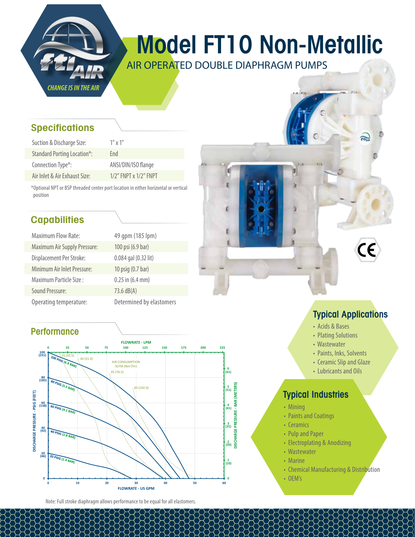

# Model FT10 Non-Metallic

AIR OPERATED DOUBLE DIAPHRAGM PUMPS

#### **Specifications**

| Suction & Discharge Size:          | $1''$ x $1''$               |
|------------------------------------|-----------------------------|
| <b>Standard Porting Location*:</b> | Fnd                         |
| Connection Type*:                  | ANSI/DIN/ISO flange         |
| Air Inlet & Air Exhaust Size:      | $1/2$ " FNPT x $1/2$ " FNPT |

\*Optional NPT or BSP threaded center port location in either horizontal or vertical position

### **Capabilities**

| <b>Maximum Flow Rate:</b>           | 49 qpm (185 lpm)         |
|-------------------------------------|--------------------------|
| <b>Maximum Air Supply Pressure:</b> | 100 psi (6.9 bar)        |
| Displacement Per Stroke:            | 0.084 gal (0.32 lit)     |
| Minimum Air Inlet Pressure:         | 10 psig (0.7 bar)        |
| Maximum Particle Size:              | $0.25$ in $(6.4$ mm)     |
| Sound Pressure:                     | 73.6 dB(A)               |
| Operating temperature:              | Determined by elastomers |

#### **Performance**



Note: Full stroke diaphragm allows performance to be equal for all elastomers.

#### Typical Applications

m

- Acids & Bases
- Plating Solutions
- Wastewater
- Paints, Inks, Solvents
- Ceramic Slip and Glaze
- Lubricants and Oils

#### Typical Industries

- Mining
- Paints and Coatings
- Ceramics
- Pulp and Paper
- Electroplating & Anodizing
- Wastewater
- Marine
- Chemical Manufacturing & Distribution
- OEM's